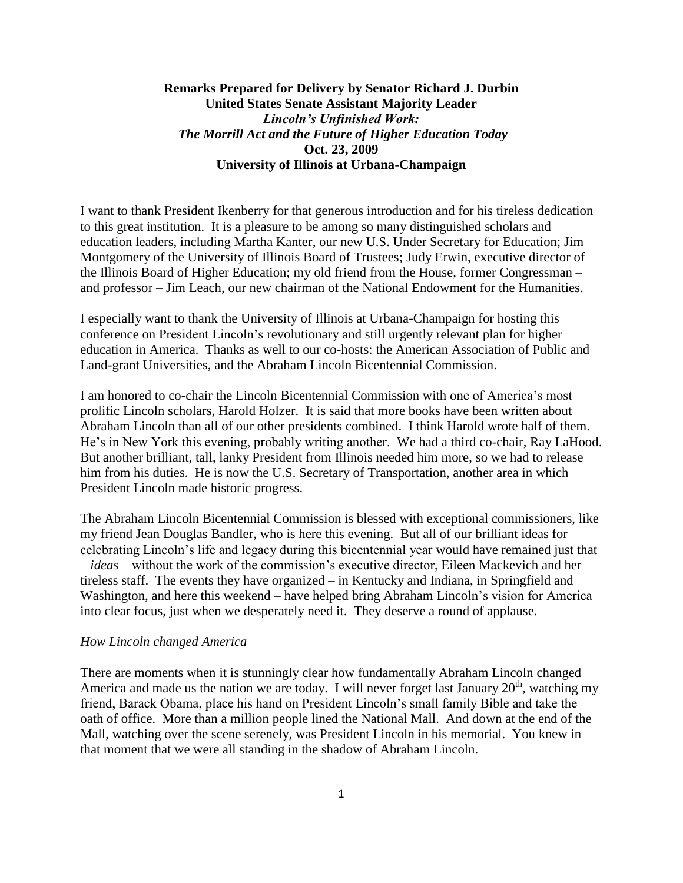# **Remarks Prepared for Delivery by Senator Richard J. Durbin United States Senate Assistant Majority Leader** *Lincoln's Unfinished Work: The Morrill Act and the Future of Higher Education Today* **Oct. 23, 2009 University of Illinois at Urbana-Champaign**

I want to thank President Ikenberry for that generous introduction and for his tireless dedication to this great institution. It is a pleasure to be among so many distinguished scholars and education leaders, including Martha Kanter, our new U.S. Under Secretary for Education; Jim Montgomery of the University of Illinois Board of Trustees; Judy Erwin, executive director of the Illinois Board of Higher Education; my old friend from the House, former Congressman – and professor – Jim Leach, our new chairman of the National Endowment for the Humanities.

I especially want to thank the University of Illinois at Urbana-Champaign for hosting this conference on President Lincoln's revolutionary and still urgently relevant plan for higher education in America. Thanks as well to our co-hosts: the American Association of Public and Land-grant Universities, and the Abraham Lincoln Bicentennial Commission.

I am honored to co-chair the Lincoln Bicentennial Commission with one of America's most prolific Lincoln scholars, Harold Holzer. It is said that more books have been written about Abraham Lincoln than all of our other presidents combined. I think Harold wrote half of them. He's in New York this evening, probably writing another. We had a third co-chair, Ray LaHood. But another brilliant, tall, lanky President from Illinois needed him more, so we had to release him from his duties. He is now the U.S. Secretary of Transportation, another area in which President Lincoln made historic progress.

The Abraham Lincoln Bicentennial Commission is blessed with exceptional commissioners, like my friend Jean Douglas Bandler, who is here this evening. But all of our brilliant ideas for celebrating Lincoln's life and legacy during this bicentennial year would have remained just that – *ideas* – without the work of the commission's executive director, Eileen Mackevich and her tireless staff. The events they have organized – in Kentucky and Indiana, in Springfield and Washington, and here this weekend – have helped bring Abraham Lincoln's vision for America into clear focus, just when we desperately need it. They deserve a round of applause.

#### *How Lincoln changed America*

There are moments when it is stunningly clear how fundamentally Abraham Lincoln changed America and made us the nation we are today. I will never forget last January  $20<sup>th</sup>$ , watching my friend, Barack Obama, place his hand on President Lincoln's small family Bible and take the oath of office. More than a million people lined the National Mall. And down at the end of the Mall, watching over the scene serenely, was President Lincoln in his memorial. You knew in that moment that we were all standing in the shadow of Abraham Lincoln.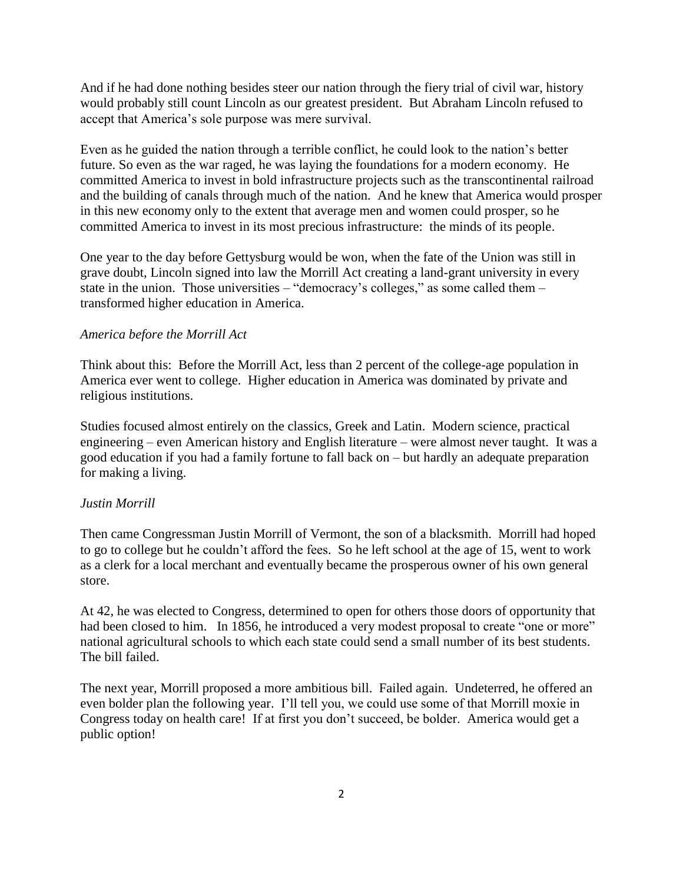And if he had done nothing besides steer our nation through the fiery trial of civil war, history would probably still count Lincoln as our greatest president. But Abraham Lincoln refused to accept that America's sole purpose was mere survival.

Even as he guided the nation through a terrible conflict, he could look to the nation's better future. So even as the war raged, he was laying the foundations for a modern economy. He committed America to invest in bold infrastructure projects such as the transcontinental railroad and the building of canals through much of the nation. And he knew that America would prosper in this new economy only to the extent that average men and women could prosper, so he committed America to invest in its most precious infrastructure: the minds of its people.

One year to the day before Gettysburg would be won, when the fate of the Union was still in grave doubt, Lincoln signed into law the Morrill Act creating a land-grant university in every state in the union. Those universities – "democracy's colleges," as some called them – transformed higher education in America.

### *America before the Morrill Act*

Think about this: Before the Morrill Act, less than 2 percent of the college-age population in America ever went to college. Higher education in America was dominated by private and religious institutions.

Studies focused almost entirely on the classics, Greek and Latin. Modern science, practical engineering – even American history and English literature – were almost never taught. It was a good education if you had a family fortune to fall back on – but hardly an adequate preparation for making a living.

#### *Justin Morrill*

Then came Congressman Justin Morrill of Vermont, the son of a blacksmith. Morrill had hoped to go to college but he couldn't afford the fees. So he left school at the age of 15, went to work as a clerk for a local merchant and eventually became the prosperous owner of his own general store.

At 42, he was elected to Congress, determined to open for others those doors of opportunity that had been closed to him. In 1856, he introduced a very modest proposal to create "one or more" national agricultural schools to which each state could send a small number of its best students. The bill failed.

The next year, Morrill proposed a more ambitious bill. Failed again. Undeterred, he offered an even bolder plan the following year. I'll tell you, we could use some of that Morrill moxie in Congress today on health care! If at first you don't succeed, be bolder. America would get a public option!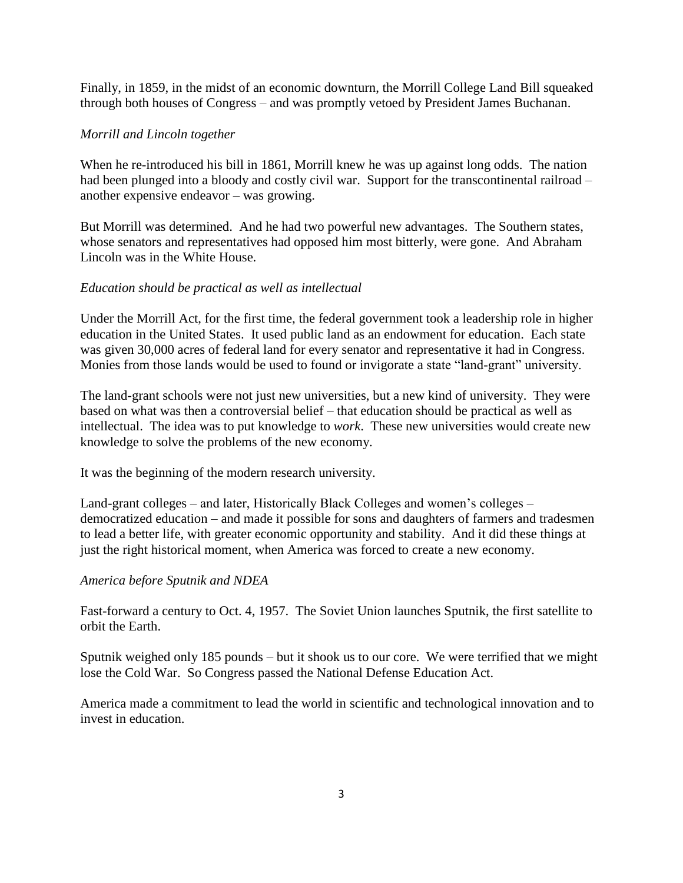Finally, in 1859, in the midst of an economic downturn, the Morrill College Land Bill squeaked through both houses of Congress – and was promptly vetoed by President James Buchanan.

# *Morrill and Lincoln together*

When he re-introduced his bill in 1861, Morrill knew he was up against long odds. The nation had been plunged into a bloody and costly civil war. Support for the transcontinental railroad – another expensive endeavor – was growing.

But Morrill was determined. And he had two powerful new advantages. The Southern states, whose senators and representatives had opposed him most bitterly, were gone. And Abraham Lincoln was in the White House.

# *Education should be practical as well as intellectual*

Under the Morrill Act, for the first time, the federal government took a leadership role in higher education in the United States. It used public land as an endowment for education. Each state was given 30,000 acres of federal land for every senator and representative it had in Congress. Monies from those lands would be used to found or invigorate a state "land-grant" university.

The land-grant schools were not just new universities, but a new kind of university. They were based on what was then a controversial belief – that education should be practical as well as intellectual. The idea was to put knowledge to *work*. These new universities would create new knowledge to solve the problems of the new economy.

It was the beginning of the modern research university.

Land-grant colleges – and later, Historically Black Colleges and women's colleges – democratized education – and made it possible for sons and daughters of farmers and tradesmen to lead a better life, with greater economic opportunity and stability. And it did these things at just the right historical moment, when America was forced to create a new economy.

### *America before Sputnik and NDEA*

Fast-forward a century to Oct. 4, 1957. The Soviet Union launches Sputnik, the first satellite to orbit the Earth.

Sputnik weighed only 185 pounds – but it shook us to our core. We were terrified that we might lose the Cold War. So Congress passed the National Defense Education Act.

America made a commitment to lead the world in scientific and technological innovation and to invest in education.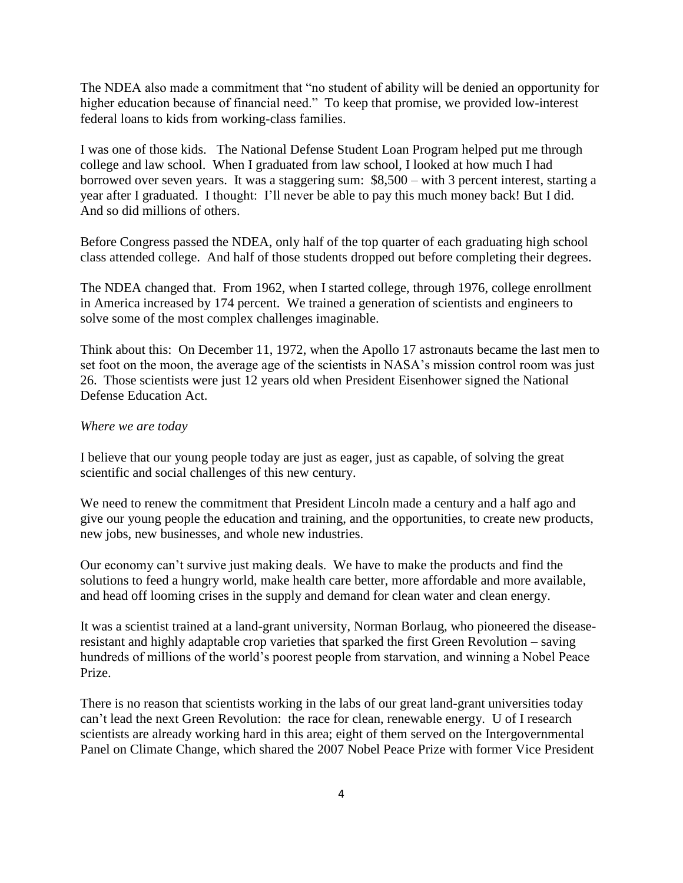The NDEA also made a commitment that "no student of ability will be denied an opportunity for higher education because of financial need." To keep that promise, we provided low-interest federal loans to kids from working-class families.

I was one of those kids. The National Defense Student Loan Program helped put me through college and law school. When I graduated from law school, I looked at how much I had borrowed over seven years. It was a staggering sum: \$8,500 – with 3 percent interest, starting a year after I graduated. I thought: I'll never be able to pay this much money back! But I did. And so did millions of others.

Before Congress passed the NDEA, only half of the top quarter of each graduating high school class attended college. And half of those students dropped out before completing their degrees.

The NDEA changed that. From 1962, when I started college, through 1976, college enrollment in America increased by 174 percent. We trained a generation of scientists and engineers to solve some of the most complex challenges imaginable.

Think about this: On December 11, 1972, when the Apollo 17 astronauts became the last men to set foot on the moon, the average age of the scientists in NASA's mission control room was just 26. Those scientists were just 12 years old when President Eisenhower signed the National Defense Education Act.

### *Where we are today*

I believe that our young people today are just as eager, just as capable, of solving the great scientific and social challenges of this new century.

We need to renew the commitment that President Lincoln made a century and a half ago and give our young people the education and training, and the opportunities, to create new products, new jobs, new businesses, and whole new industries.

Our economy can't survive just making deals. We have to make the products and find the solutions to feed a hungry world, make health care better, more affordable and more available, and head off looming crises in the supply and demand for clean water and clean energy.

It was a scientist trained at a land-grant university, Norman Borlaug, who pioneered the diseaseresistant and highly adaptable crop varieties that sparked the first Green Revolution – saving hundreds of millions of the world's poorest people from starvation, and winning a Nobel Peace Prize.

There is no reason that scientists working in the labs of our great land-grant universities today can't lead the next Green Revolution: the race for clean, renewable energy. U of I research scientists are already working hard in this area; eight of them served on the Intergovernmental Panel on Climate Change, which shared the 2007 Nobel Peace Prize with former Vice President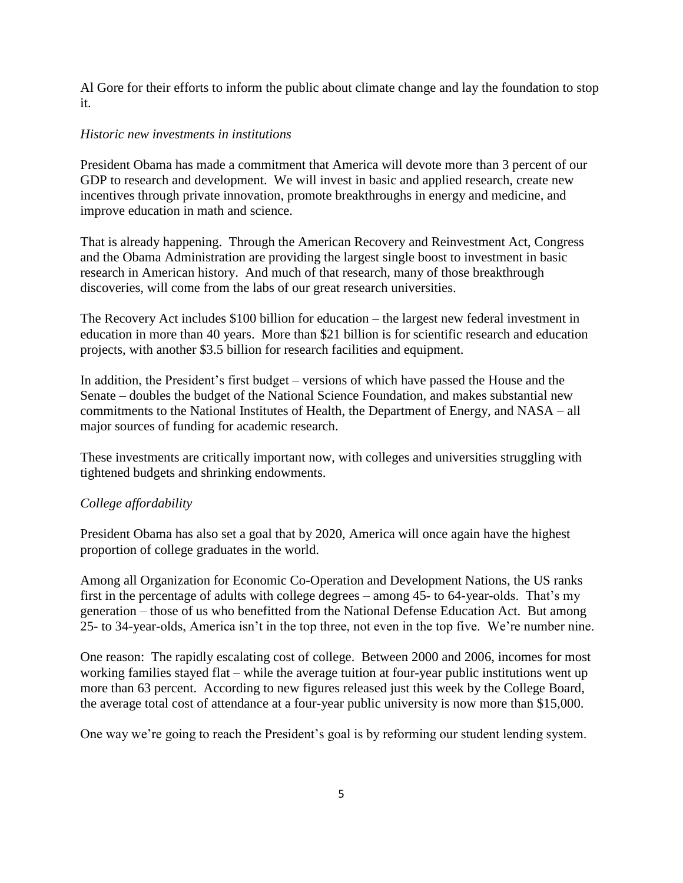Al Gore for their efforts to inform the public about climate change and lay the foundation to stop it.

## *Historic new investments in institutions*

President Obama has made a commitment that America will devote more than 3 percent of our GDP to research and development. We will invest in basic and applied research, create new incentives through private innovation, promote breakthroughs in energy and medicine, and improve education in math and science.

That is already happening. Through the American Recovery and Reinvestment Act, Congress and the Obama Administration are providing the largest single boost to investment in basic research in American history. And much of that research, many of those breakthrough discoveries, will come from the labs of our great research universities.

The Recovery Act includes \$100 billion for education – the largest new federal investment in education in more than 40 years. More than \$21 billion is for scientific research and education projects, with another \$3.5 billion for research facilities and equipment.

In addition, the President's first budget – versions of which have passed the House and the Senate – doubles the budget of the National Science Foundation, and makes substantial new commitments to the National Institutes of Health, the Department of Energy, and NASA – all major sources of funding for academic research.

These investments are critically important now, with colleges and universities struggling with tightened budgets and shrinking endowments.

# *College affordability*

President Obama has also set a goal that by 2020, America will once again have the highest proportion of college graduates in the world.

Among all Organization for Economic Co-Operation and Development Nations, the US ranks first in the percentage of adults with college degrees – among 45- to 64-year-olds. That's my generation – those of us who benefitted from the National Defense Education Act. But among 25- to 34-year-olds, America isn't in the top three, not even in the top five. We're number nine.

One reason: The rapidly escalating cost of college. Between 2000 and 2006, incomes for most working families stayed flat – while the average tuition at four-year public institutions went up more than 63 percent. According to new figures released just this week by the College Board, the average total cost of attendance at a four-year public university is now more than \$15,000.

One way we're going to reach the President's goal is by reforming our student lending system.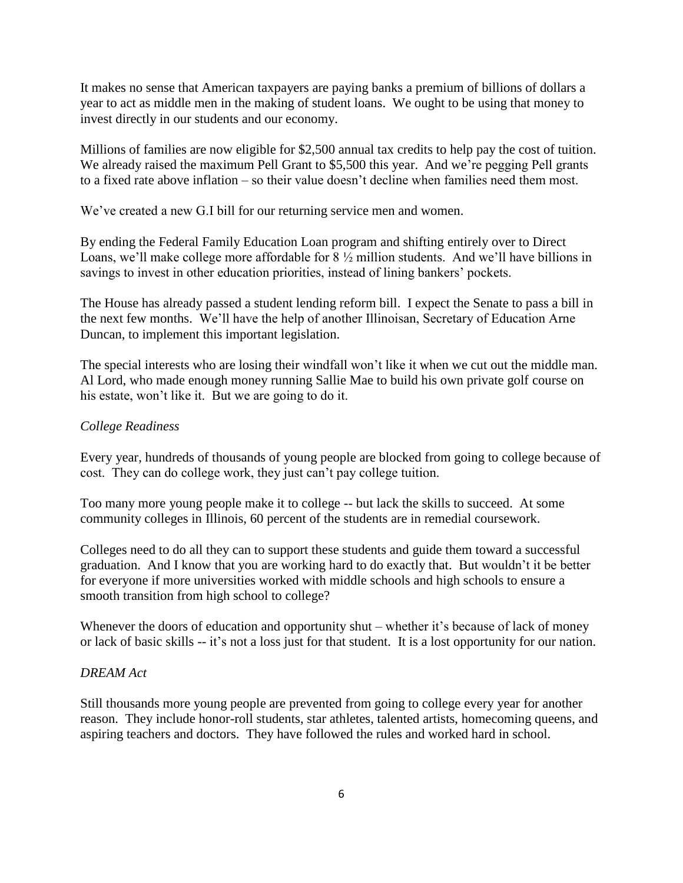It makes no sense that American taxpayers are paying banks a premium of billions of dollars a year to act as middle men in the making of student loans. We ought to be using that money to invest directly in our students and our economy.

Millions of families are now eligible for \$2,500 annual tax credits to help pay the cost of tuition. We already raised the maximum Pell Grant to \$5,500 this year. And we're pegging Pell grants to a fixed rate above inflation – so their value doesn't decline when families need them most.

We've created a new G.I bill for our returning service men and women.

By ending the Federal Family Education Loan program and shifting entirely over to Direct Loans, we'll make college more affordable for 8 ½ million students. And we'll have billions in savings to invest in other education priorities, instead of lining bankers' pockets.

The House has already passed a student lending reform bill. I expect the Senate to pass a bill in the next few months. We'll have the help of another Illinoisan, Secretary of Education Arne Duncan, to implement this important legislation.

The special interests who are losing their windfall won't like it when we cut out the middle man. Al Lord, who made enough money running Sallie Mae to build his own private golf course on his estate, won't like it. But we are going to do it.

### *College Readiness*

Every year, hundreds of thousands of young people are blocked from going to college because of cost. They can do college work, they just can't pay college tuition.

Too many more young people make it to college -- but lack the skills to succeed. At some community colleges in Illinois, 60 percent of the students are in remedial coursework.

Colleges need to do all they can to support these students and guide them toward a successful graduation. And I know that you are working hard to do exactly that. But wouldn't it be better for everyone if more universities worked with middle schools and high schools to ensure a smooth transition from high school to college?

Whenever the doors of education and opportunity shut – whether it's because of lack of money or lack of basic skills -- it's not a loss just for that student. It is a lost opportunity for our nation.

### *DREAM Act*

Still thousands more young people are prevented from going to college every year for another reason. They include honor-roll students, star athletes, talented artists, homecoming queens, and aspiring teachers and doctors. They have followed the rules and worked hard in school.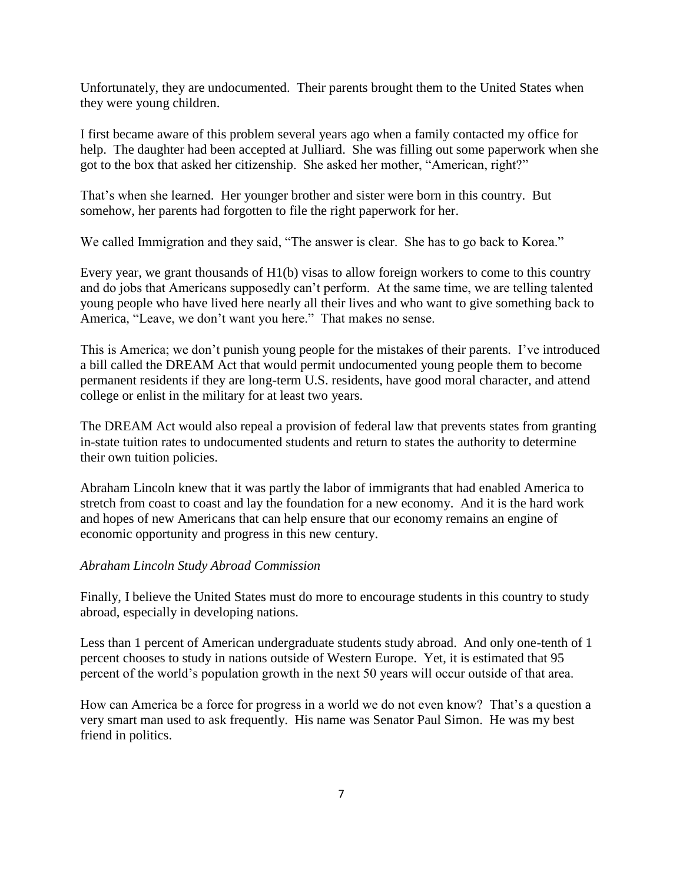Unfortunately, they are undocumented. Their parents brought them to the United States when they were young children.

I first became aware of this problem several years ago when a family contacted my office for help. The daughter had been accepted at Julliard. She was filling out some paperwork when she got to the box that asked her citizenship. She asked her mother, "American, right?"

That's when she learned. Her younger brother and sister were born in this country. But somehow, her parents had forgotten to file the right paperwork for her.

We called Immigration and they said, "The answer is clear. She has to go back to Korea."

Every year, we grant thousands of H1(b) visas to allow foreign workers to come to this country and do jobs that Americans supposedly can't perform. At the same time, we are telling talented young people who have lived here nearly all their lives and who want to give something back to America, "Leave, we don't want you here." That makes no sense.

This is America; we don't punish young people for the mistakes of their parents. I've introduced a bill called the DREAM Act that would permit undocumented young people them to become permanent residents if they are long-term U.S. residents, have good moral character, and attend college or enlist in the military for at least two years.

The DREAM Act would also repeal a provision of federal law that prevents states from granting in-state tuition rates to undocumented students and return to states the authority to determine their own tuition policies.

Abraham Lincoln knew that it was partly the labor of immigrants that had enabled America to stretch from coast to coast and lay the foundation for a new economy. And it is the hard work and hopes of new Americans that can help ensure that our economy remains an engine of economic opportunity and progress in this new century.

### *Abraham Lincoln Study Abroad Commission*

Finally, I believe the United States must do more to encourage students in this country to study abroad, especially in developing nations.

Less than 1 percent of American undergraduate students study abroad. And only one-tenth of 1 percent chooses to study in nations outside of Western Europe. Yet, it is estimated that 95 percent of the world's population growth in the next 50 years will occur outside of that area.

How can America be a force for progress in a world we do not even know? That's a question a very smart man used to ask frequently. His name was Senator Paul Simon. He was my best friend in politics.